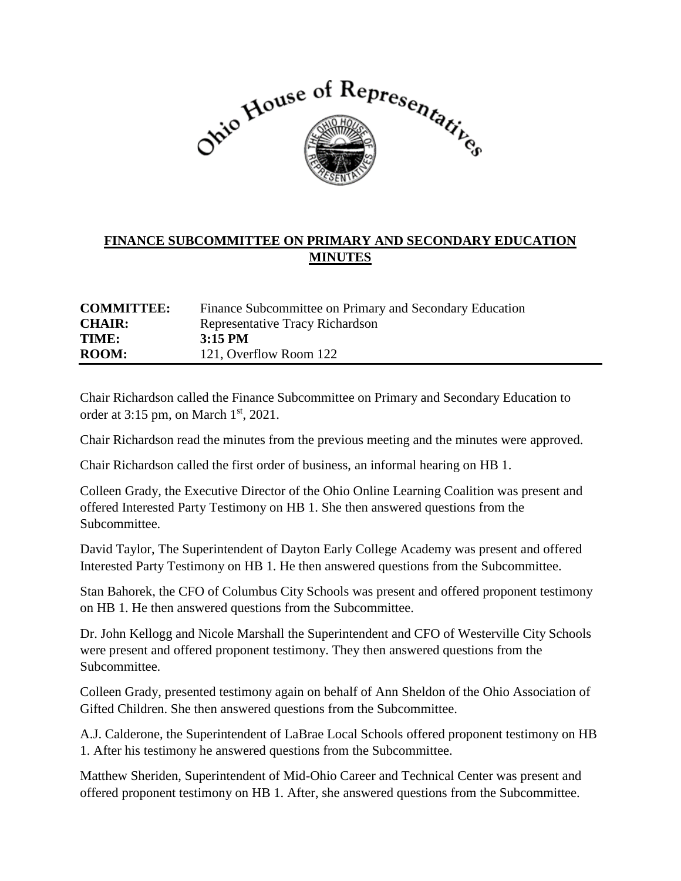

## **FINANCE SUBCOMMITTEE ON PRIMARY AND SECONDARY EDUCATION MINUTES**

| <b>COMMITTEE:</b> | Finance Subcommittee on Primary and Secondary Education |
|-------------------|---------------------------------------------------------|
| <b>CHAIR:</b>     | Representative Tracy Richardson                         |
| TIME:             | $3:15 \text{ PM}$                                       |
| <b>ROOM:</b>      | 121, Overflow Room 122                                  |

Chair Richardson called the Finance Subcommittee on Primary and Secondary Education to order at  $3:15$  pm, on March  $1<sup>st</sup>$ , 2021.

Chair Richardson read the minutes from the previous meeting and the minutes were approved.

Chair Richardson called the first order of business, an informal hearing on HB 1.

Colleen Grady, the Executive Director of the Ohio Online Learning Coalition was present and offered Interested Party Testimony on HB 1. She then answered questions from the Subcommittee.

David Taylor, The Superintendent of Dayton Early College Academy was present and offered Interested Party Testimony on HB 1. He then answered questions from the Subcommittee.

Stan Bahorek, the CFO of Columbus City Schools was present and offered proponent testimony on HB 1. He then answered questions from the Subcommittee.

Dr. John Kellogg and Nicole Marshall the Superintendent and CFO of Westerville City Schools were present and offered proponent testimony. They then answered questions from the Subcommittee.

Colleen Grady, presented testimony again on behalf of Ann Sheldon of the Ohio Association of Gifted Children. She then answered questions from the Subcommittee.

A.J. Calderone, the Superintendent of LaBrae Local Schools offered proponent testimony on HB 1. After his testimony he answered questions from the Subcommittee.

Matthew Sheriden, Superintendent of Mid-Ohio Career and Technical Center was present and offered proponent testimony on HB 1. After, she answered questions from the Subcommittee.